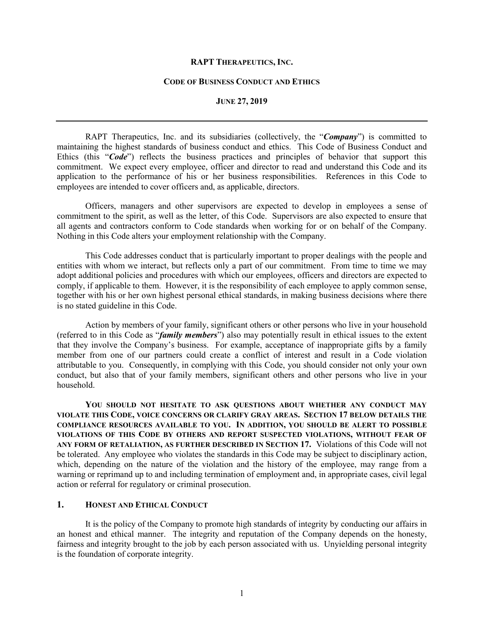#### **RAPT THERAPEUTICS, INC.**

#### **CODE OF BUSINESS CONDUCT AND ETHICS**

### **JUNE 27, 2019**

RAPT Therapeutics, Inc. and its subsidiaries (collectively, the "*Company*") is committed to maintaining the highest standards of business conduct and ethics. This Code of Business Conduct and Ethics (this "*Code*") reflects the business practices and principles of behavior that support this commitment. We expect every employee, officer and director to read and understand this Code and its application to the performance of his or her business responsibilities. References in this Code to employees are intended to cover officers and, as applicable, directors.

Officers, managers and other supervisors are expected to develop in employees a sense of commitment to the spirit, as well as the letter, of this Code. Supervisors are also expected to ensure that all agents and contractors conform to Code standards when working for or on behalf of the Company. Nothing in this Code alters your employment relationship with the Company.

This Code addresses conduct that is particularly important to proper dealings with the people and entities with whom we interact, but reflects only a part of our commitment. From time to time we may adopt additional policies and procedures with which our employees, officers and directors are expected to comply, if applicable to them. However, it is the responsibility of each employee to apply common sense, together with his or her own highest personal ethical standards, in making business decisions where there is no stated guideline in this Code.

Action by members of your family, significant others or other persons who live in your household (referred to in this Code as "*family members*") also may potentially result in ethical issues to the extent that they involve the Company's business. For example, acceptance of inappropriate gifts by a family member from one of our partners could create a conflict of interest and result in a Code violation attributable to you. Consequently, in complying with this Code, you should consider not only your own conduct, but also that of your family members, significant others and other persons who live in your household.

**YOU SHOULD NOT HESITATE TO ASK QUESTIONS ABOUT WHETHER ANY CONDUCT MAY VIOLATE THIS CODE, VOICE CONCERNS OR CLARIFY GRAY AREAS. SECTION 17 BELOW DETAILS THE COMPLIANCE RESOURCES AVAILABLE TO YOU. IN ADDITION, YOU SHOULD BE ALERT TO POSSIBLE VIOLATIONS OF THIS CODE BY OTHERS AND REPORT SUSPECTED VIOLATIONS, WITHOUT FEAR OF ANY FORM OF RETALIATION, AS FURTHER DESCRIBED IN SECTION 17.** Violations of this Code will not be tolerated. Any employee who violates the standards in this Code may be subject to disciplinary action, which, depending on the nature of the violation and the history of the employee, may range from a warning or reprimand up to and including termination of employment and, in appropriate cases, civil legal action or referral for regulatory or criminal prosecution.

# **1. HONEST AND ETHICAL CONDUCT**

It is the policy of the Company to promote high standards of integrity by conducting our affairs in an honest and ethical manner. The integrity and reputation of the Company depends on the honesty, fairness and integrity brought to the job by each person associated with us. Unyielding personal integrity is the foundation of corporate integrity.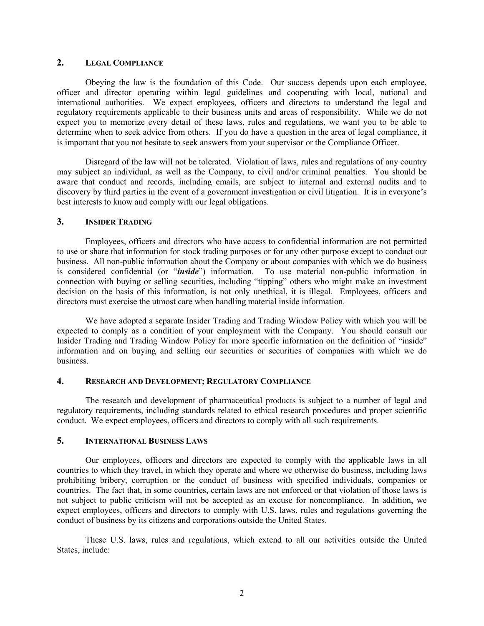# **2. LEGAL COMPLIANCE**

Obeying the law is the foundation of this Code. Our success depends upon each employee, officer and director operating within legal guidelines and cooperating with local, national and international authorities. We expect employees, officers and directors to understand the legal and regulatory requirements applicable to their business units and areas of responsibility. While we do not expect you to memorize every detail of these laws, rules and regulations, we want you to be able to determine when to seek advice from others. If you do have a question in the area of legal compliance, it is important that you not hesitate to seek answers from your supervisor or the Compliance Officer.

Disregard of the law will not be tolerated. Violation of laws, rules and regulations of any country may subject an individual, as well as the Company, to civil and/or criminal penalties. You should be aware that conduct and records, including emails, are subject to internal and external audits and to discovery by third parties in the event of a government investigation or civil litigation. It is in everyone's best interests to know and comply with our legal obligations.

# **3. INSIDER TRADING**

Employees, officers and directors who have access to confidential information are not permitted to use or share that information for stock trading purposes or for any other purpose except to conduct our business. All non-public information about the Company or about companies with which we do business is considered confidential (or "*inside*") information. To use material non-public information in connection with buying or selling securities, including "tipping" others who might make an investment decision on the basis of this information, is not only unethical, it is illegal. Employees, officers and directors must exercise the utmost care when handling material inside information.

We have adopted a separate Insider Trading and Trading Window Policy with which you will be expected to comply as a condition of your employment with the Company. You should consult our Insider Trading and Trading Window Policy for more specific information on the definition of "inside" information and on buying and selling our securities or securities of companies with which we do business.

### **4. RESEARCH AND DEVELOPMENT; REGULATORY COMPLIANCE**

The research and development of pharmaceutical products is subject to a number of legal and regulatory requirements, including standards related to ethical research procedures and proper scientific conduct. We expect employees, officers and directors to comply with all such requirements.

## **5. INTERNATIONAL BUSINESS LAWS**

Our employees, officers and directors are expected to comply with the applicable laws in all countries to which they travel, in which they operate and where we otherwise do business, including laws prohibiting bribery, corruption or the conduct of business with specified individuals, companies or countries. The fact that, in some countries, certain laws are not enforced or that violation of those laws is not subject to public criticism will not be accepted as an excuse for noncompliance. In addition, we expect employees, officers and directors to comply with U.S. laws, rules and regulations governing the conduct of business by its citizens and corporations outside the United States.

These U.S. laws, rules and regulations, which extend to all our activities outside the United States, include: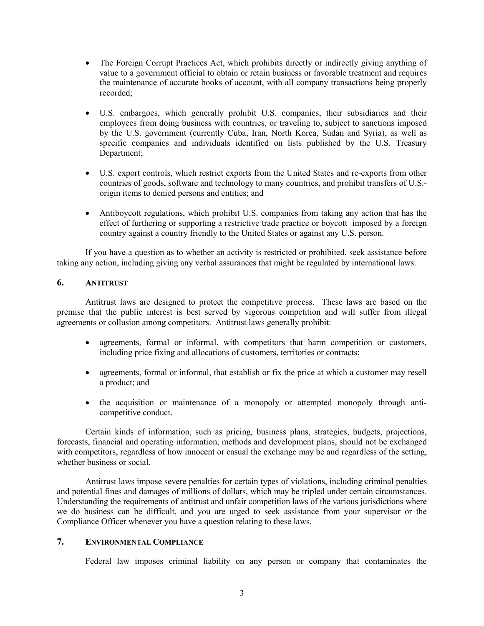- The Foreign Corrupt Practices Act, which prohibits directly or indirectly giving anything of value to a government official to obtain or retain business or favorable treatment and requires the maintenance of accurate books of account, with all company transactions being properly recorded;
- U.S. embargoes, which generally prohibit U.S. companies, their subsidiaries and their employees from doing business with countries, or traveling to, subject to sanctions imposed by the U.S. government (currently Cuba, Iran, North Korea, Sudan and Syria), as well as specific companies and individuals identified on lists published by the U.S. Treasury Department;
- U.S. export controls, which restrict exports from the United States and re-exports from other countries of goods, software and technology to many countries, and prohibit transfers of U.S. origin items to denied persons and entities; and
- Antiboycott regulations, which prohibit U.S. companies from taking any action that has the effect of furthering or supporting a restrictive trade practice or boycott imposed by a foreign country against a country friendly to the United States or against any U.S. person.

If you have a question as to whether an activity is restricted or prohibited, seek assistance before taking any action, including giving any verbal assurances that might be regulated by international laws.

## **6. ANTITRUST**

Antitrust laws are designed to protect the competitive process. These laws are based on the premise that the public interest is best served by vigorous competition and will suffer from illegal agreements or collusion among competitors. Antitrust laws generally prohibit:

- agreements, formal or informal, with competitors that harm competition or customers, including price fixing and allocations of customers, territories or contracts;
- agreements, formal or informal, that establish or fix the price at which a customer may resell a product; and
- the acquisition or maintenance of a monopoly or attempted monopoly through anticompetitive conduct.

Certain kinds of information, such as pricing, business plans, strategies, budgets, projections, forecasts, financial and operating information, methods and development plans, should not be exchanged with competitors, regardless of how innocent or casual the exchange may be and regardless of the setting, whether business or social.

Antitrust laws impose severe penalties for certain types of violations, including criminal penalties and potential fines and damages of millions of dollars, which may be tripled under certain circumstances. Understanding the requirements of antitrust and unfair competition laws of the various jurisdictions where we do business can be difficult, and you are urged to seek assistance from your supervisor or the Compliance Officer whenever you have a question relating to these laws.

## **7. ENVIRONMENTAL COMPLIANCE**

Federal law imposes criminal liability on any person or company that contaminates the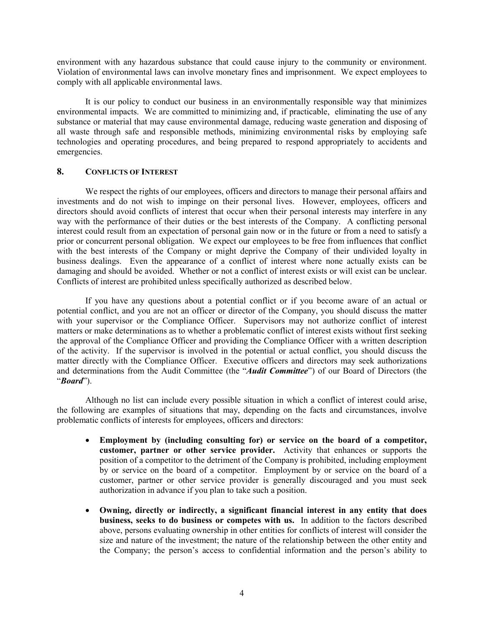environment with any hazardous substance that could cause injury to the community or environment. Violation of environmental laws can involve monetary fines and imprisonment. We expect employees to comply with all applicable environmental laws.

It is our policy to conduct our business in an environmentally responsible way that minimizes environmental impacts. We are committed to minimizing and, if practicable, eliminating the use of any substance or material that may cause environmental damage, reducing waste generation and disposing of all waste through safe and responsible methods, minimizing environmental risks by employing safe technologies and operating procedures, and being prepared to respond appropriately to accidents and emergencies.

### **8. CONFLICTS OF INTEREST**

We respect the rights of our employees, officers and directors to manage their personal affairs and investments and do not wish to impinge on their personal lives. However, employees, officers and directors should avoid conflicts of interest that occur when their personal interests may interfere in any way with the performance of their duties or the best interests of the Company. A conflicting personal interest could result from an expectation of personal gain now or in the future or from a need to satisfy a prior or concurrent personal obligation. We expect our employees to be free from influences that conflict with the best interests of the Company or might deprive the Company of their undivided loyalty in business dealings. Even the appearance of a conflict of interest where none actually exists can be damaging and should be avoided. Whether or not a conflict of interest exists or will exist can be unclear. Conflicts of interest are prohibited unless specifically authorized as described below.

If you have any questions about a potential conflict or if you become aware of an actual or potential conflict, and you are not an officer or director of the Company, you should discuss the matter with your supervisor or the Compliance Officer. Supervisors may not authorize conflict of interest matters or make determinations as to whether a problematic conflict of interest exists without first seeking the approval of the Compliance Officer and providing the Compliance Officer with a written description of the activity. If the supervisor is involved in the potential or actual conflict, you should discuss the matter directly with the Compliance Officer. Executive officers and directors may seek authorizations and determinations from the Audit Committee (the "*Audit Committee*") of our Board of Directors (the "*Board*").

Although no list can include every possible situation in which a conflict of interest could arise, the following are examples of situations that may, depending on the facts and circumstances, involve problematic conflicts of interests for employees, officers and directors:

- **Employment by (including consulting for) or service on the board of a competitor, customer, partner or other service provider.** Activity that enhances or supports the position of a competitor to the detriment of the Company is prohibited, including employment by or service on the board of a competitor. Employment by or service on the board of a customer, partner or other service provider is generally discouraged and you must seek authorization in advance if you plan to take such a position.
- **Owning, directly or indirectly, a significant financial interest in any entity that does business, seeks to do business or competes with us.** In addition to the factors described above, persons evaluating ownership in other entities for conflicts of interest will consider the size and nature of the investment; the nature of the relationship between the other entity and the Company; the person's access to confidential information and the person's ability to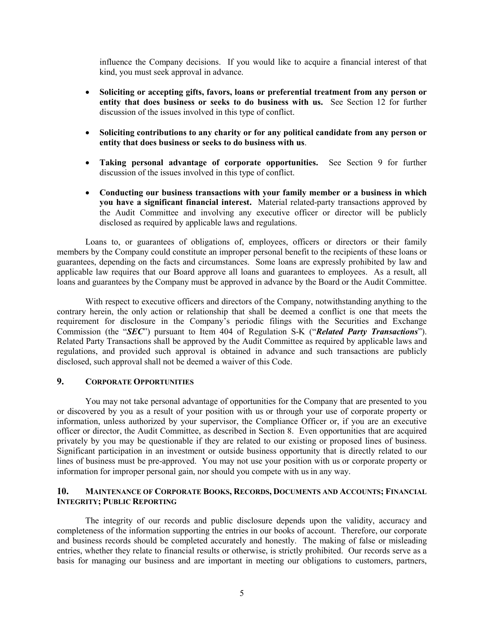influence the Company decisions. If you would like to acquire a financial interest of that kind, you must seek approval in advance.

- **Soliciting or accepting gifts, favors, loans or preferential treatment from any person or entity that does business or seeks to do business with us.** See Section 12 for further discussion of the issues involved in this type of conflict.
- **Soliciting contributions to any charity or for any political candidate from any person or entity that does business or seeks to do business with us**.
- **Taking personal advantage of corporate opportunities.** See Section 9 for further discussion of the issues involved in this type of conflict.
- **Conducting our business transactions with your family member or a business in which you have a significant financial interest.** Material related-party transactions approved by the Audit Committee and involving any executive officer or director will be publicly disclosed as required by applicable laws and regulations.

Loans to, or guarantees of obligations of, employees, officers or directors or their family members by the Company could constitute an improper personal benefit to the recipients of these loans or guarantees, depending on the facts and circumstances. Some loans are expressly prohibited by law and applicable law requires that our Board approve all loans and guarantees to employees. As a result, all loans and guarantees by the Company must be approved in advance by the Board or the Audit Committee.

With respect to executive officers and directors of the Company, notwithstanding anything to the contrary herein, the only action or relationship that shall be deemed a conflict is one that meets the requirement for disclosure in the Company's periodic filings with the Securities and Exchange Commission (the "*SEC*") pursuant to Item 404 of Regulation S-K ("*Related Party Transactions*"). Related Party Transactions shall be approved by the Audit Committee as required by applicable laws and regulations, and provided such approval is obtained in advance and such transactions are publicly disclosed, such approval shall not be deemed a waiver of this Code.

# **9. CORPORATE OPPORTUNITIES**

You may not take personal advantage of opportunities for the Company that are presented to you or discovered by you as a result of your position with us or through your use of corporate property or information, unless authorized by your supervisor, the Compliance Officer or, if you are an executive officer or director, the Audit Committee, as described in Section 8. Even opportunities that are acquired privately by you may be questionable if they are related to our existing or proposed lines of business. Significant participation in an investment or outside business opportunity that is directly related to our lines of business must be pre-approved. You may not use your position with us or corporate property or information for improper personal gain, nor should you compete with us in any way.

## **10. MAINTENANCE OF CORPORATE BOOKS, RECORDS, DOCUMENTS AND ACCOUNTS; FINANCIAL INTEGRITY; PUBLIC REPORTING**

The integrity of our records and public disclosure depends upon the validity, accuracy and completeness of the information supporting the entries in our books of account. Therefore, our corporate and business records should be completed accurately and honestly. The making of false or misleading entries, whether they relate to financial results or otherwise, is strictly prohibited. Our records serve as a basis for managing our business and are important in meeting our obligations to customers, partners,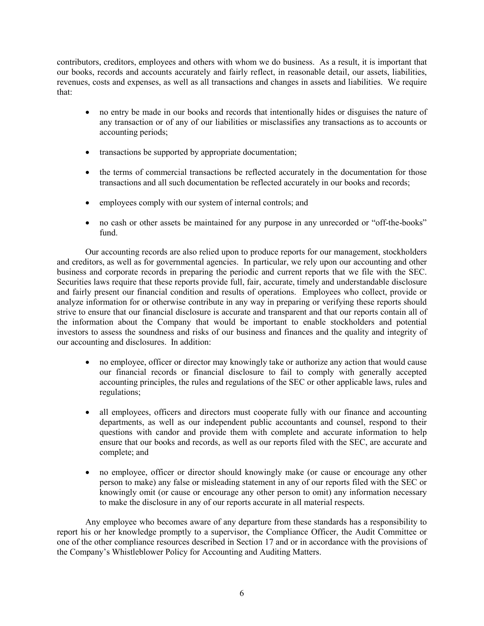contributors, creditors, employees and others with whom we do business. As a result, it is important that our books, records and accounts accurately and fairly reflect, in reasonable detail, our assets, liabilities, revenues, costs and expenses, as well as all transactions and changes in assets and liabilities. We require that:

- no entry be made in our books and records that intentionally hides or disguises the nature of any transaction or of any of our liabilities or misclassifies any transactions as to accounts or accounting periods;
- transactions be supported by appropriate documentation;
- the terms of commercial transactions be reflected accurately in the documentation for those transactions and all such documentation be reflected accurately in our books and records;
- employees comply with our system of internal controls; and
- no cash or other assets be maintained for any purpose in any unrecorded or "off-the-books" fund.

Our accounting records are also relied upon to produce reports for our management, stockholders and creditors, as well as for governmental agencies. In particular, we rely upon our accounting and other business and corporate records in preparing the periodic and current reports that we file with the SEC. Securities laws require that these reports provide full, fair, accurate, timely and understandable disclosure and fairly present our financial condition and results of operations. Employees who collect, provide or analyze information for or otherwise contribute in any way in preparing or verifying these reports should strive to ensure that our financial disclosure is accurate and transparent and that our reports contain all of the information about the Company that would be important to enable stockholders and potential investors to assess the soundness and risks of our business and finances and the quality and integrity of our accounting and disclosures. In addition:

- no employee, officer or director may knowingly take or authorize any action that would cause our financial records or financial disclosure to fail to comply with generally accepted accounting principles, the rules and regulations of the SEC or other applicable laws, rules and regulations;
- all employees, officers and directors must cooperate fully with our finance and accounting departments, as well as our independent public accountants and counsel, respond to their questions with candor and provide them with complete and accurate information to help ensure that our books and records, as well as our reports filed with the SEC, are accurate and complete; and
- no employee, officer or director should knowingly make (or cause or encourage any other person to make) any false or misleading statement in any of our reports filed with the SEC or knowingly omit (or cause or encourage any other person to omit) any information necessary to make the disclosure in any of our reports accurate in all material respects.

Any employee who becomes aware of any departure from these standards has a responsibility to report his or her knowledge promptly to a supervisor, the Compliance Officer, the Audit Committee or one of the other compliance resources described in Section 17 and or in accordance with the provisions of the Company's Whistleblower Policy for Accounting and Auditing Matters.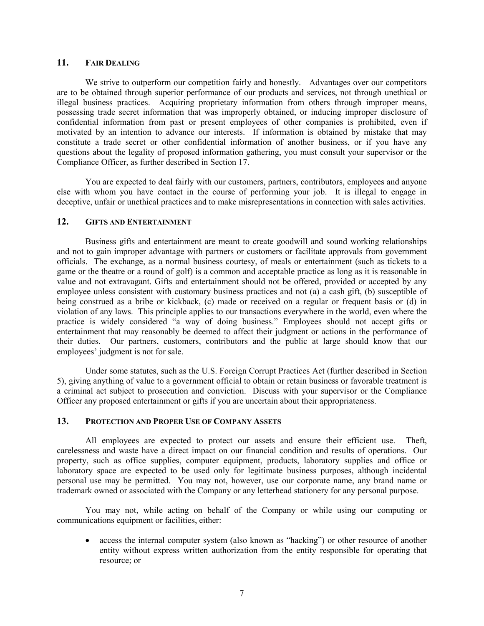### **11. FAIR DEALING**

We strive to outperform our competition fairly and honestly. Advantages over our competitors are to be obtained through superior performance of our products and services, not through unethical or illegal business practices. Acquiring proprietary information from others through improper means, possessing trade secret information that was improperly obtained, or inducing improper disclosure of confidential information from past or present employees of other companies is prohibited, even if motivated by an intention to advance our interests. If information is obtained by mistake that may constitute a trade secret or other confidential information of another business, or if you have any questions about the legality of proposed information gathering, you must consult your supervisor or the Compliance Officer, as further described in Section 17.

You are expected to deal fairly with our customers, partners, contributors, employees and anyone else with whom you have contact in the course of performing your job. It is illegal to engage in deceptive, unfair or unethical practices and to make misrepresentations in connection with sales activities.

# **12. GIFTS AND ENTERTAINMENT**

Business gifts and entertainment are meant to create goodwill and sound working relationships and not to gain improper advantage with partners or customers or facilitate approvals from government officials. The exchange, as a normal business courtesy, of meals or entertainment (such as tickets to a game or the theatre or a round of golf) is a common and acceptable practice as long as it is reasonable in value and not extravagant. Gifts and entertainment should not be offered, provided or accepted by any employee unless consistent with customary business practices and not (a) a cash gift, (b) susceptible of being construed as a bribe or kickback, (c) made or received on a regular or frequent basis or (d) in violation of any laws. This principle applies to our transactions everywhere in the world, even where the practice is widely considered "a way of doing business." Employees should not accept gifts or entertainment that may reasonably be deemed to affect their judgment or actions in the performance of their duties. Our partners, customers, contributors and the public at large should know that our employees' judgment is not for sale.

Under some statutes, such as the U.S. Foreign Corrupt Practices Act (further described in Section 5), giving anything of value to a government official to obtain or retain business or favorable treatment is a criminal act subject to prosecution and conviction. Discuss with your supervisor or the Compliance Officer any proposed entertainment or gifts if you are uncertain about their appropriateness.

### **13. PROTECTION AND PROPER USE OF COMPANY ASSETS**

All employees are expected to protect our assets and ensure their efficient use. Theft, carelessness and waste have a direct impact on our financial condition and results of operations. Our property, such as office supplies, computer equipment, products, laboratory supplies and office or laboratory space are expected to be used only for legitimate business purposes, although incidental personal use may be permitted. You may not, however, use our corporate name, any brand name or trademark owned or associated with the Company or any letterhead stationery for any personal purpose.

You may not, while acting on behalf of the Company or while using our computing or communications equipment or facilities, either:

• access the internal computer system (also known as "hacking") or other resource of another entity without express written authorization from the entity responsible for operating that resource; or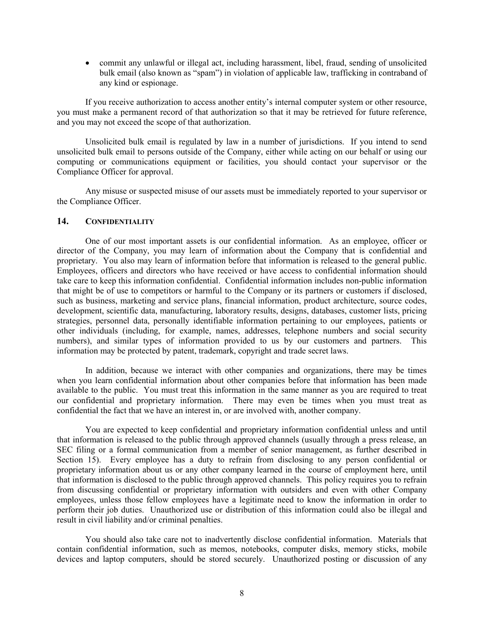• commit any unlawful or illegal act, including harassment, libel, fraud, sending of unsolicited bulk email (also known as "spam") in violation of applicable law, trafficking in contraband of any kind or espionage.

If you receive authorization to access another entity's internal computer system or other resource, you must make a permanent record of that authorization so that it may be retrieved for future reference, and you may not exceed the scope of that authorization.

Unsolicited bulk email is regulated by law in a number of jurisdictions. If you intend to send unsolicited bulk email to persons outside of the Company, either while acting on our behalf or using our computing or communications equipment or facilities, you should contact your supervisor or the Compliance Officer for approval.

Any misuse or suspected misuse of our assets must be immediately reported to your supervisor or the Compliance Officer.

### **14. CONFIDENTIALITY**

One of our most important assets is our confidential information. As an employee, officer or director of the Company, you may learn of information about the Company that is confidential and proprietary. You also may learn of information before that information is released to the general public. Employees, officers and directors who have received or have access to confidential information should take care to keep this information confidential. Confidential information includes non-public information that might be of use to competitors or harmful to the Company or its partners or customers if disclosed, such as business, marketing and service plans, financial information, product architecture, source codes, development, scientific data, manufacturing, laboratory results, designs, databases, customer lists, pricing strategies, personnel data, personally identifiable information pertaining to our employees, patients or other individuals (including, for example, names, addresses, telephone numbers and social security numbers), and similar types of information provided to us by our customers and partners. This information may be protected by patent, trademark, copyright and trade secret laws.

In addition, because we interact with other companies and organizations, there may be times when you learn confidential information about other companies before that information has been made available to the public. You must treat this information in the same manner as you are required to treat our confidential and proprietary information. There may even be times when you must treat as confidential the fact that we have an interest in, or are involved with, another company.

You are expected to keep confidential and proprietary information confidential unless and until that information is released to the public through approved channels (usually through a press release, an SEC filing or a formal communication from a member of senior management, as further described in Section 15). Every employee has a duty to refrain from disclosing to any person confidential or proprietary information about us or any other company learned in the course of employment here, until that information is disclosed to the public through approved channels. This policy requires you to refrain from discussing confidential or proprietary information with outsiders and even with other Company employees, unless those fellow employees have a legitimate need to know the information in order to perform their job duties. Unauthorized use or distribution of this information could also be illegal and result in civil liability and/or criminal penalties.

You should also take care not to inadvertently disclose confidential information. Materials that contain confidential information, such as memos, notebooks, computer disks, memory sticks, mobile devices and laptop computers, should be stored securely. Unauthorized posting or discussion of any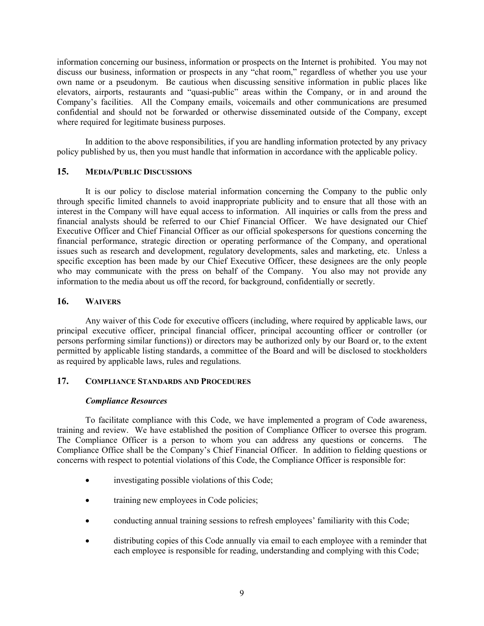information concerning our business, information or prospects on the Internet is prohibited. You may not discuss our business, information or prospects in any "chat room," regardless of whether you use your own name or a pseudonym. Be cautious when discussing sensitive information in public places like elevators, airports, restaurants and "quasi-public" areas within the Company, or in and around the Company's facilities. All the Company emails, voicemails and other communications are presumed confidential and should not be forwarded or otherwise disseminated outside of the Company, except where required for legitimate business purposes.

In addition to the above responsibilities, if you are handling information protected by any privacy policy published by us, then you must handle that information in accordance with the applicable policy.

## **15. MEDIA/PUBLIC DISCUSSIONS**

It is our policy to disclose material information concerning the Company to the public only through specific limited channels to avoid inappropriate publicity and to ensure that all those with an interest in the Company will have equal access to information. All inquiries or calls from the press and financial analysts should be referred to our Chief Financial Officer. We have designated our Chief Executive Officer and Chief Financial Officer as our official spokespersons for questions concerning the financial performance, strategic direction or operating performance of the Company, and operational issues such as research and development, regulatory developments, sales and marketing, etc. Unless a specific exception has been made by our Chief Executive Officer, these designees are the only people who may communicate with the press on behalf of the Company. You also may not provide any information to the media about us off the record, for background, confidentially or secretly.

### **16. WAIVERS**

Any waiver of this Code for executive officers (including, where required by applicable laws, our principal executive officer, principal financial officer, principal accounting officer or controller (or persons performing similar functions)) or directors may be authorized only by our Board or, to the extent permitted by applicable listing standards, a committee of the Board and will be disclosed to stockholders as required by applicable laws, rules and regulations.

## **17. COMPLIANCE STANDARDS AND PROCEDURES**

#### *Compliance Resources*

To facilitate compliance with this Code, we have implemented a program of Code awareness, training and review. We have established the position of Compliance Officer to oversee this program. The Compliance Officer is a person to whom you can address any questions or concerns. The Compliance Office shall be the Company's Chief Financial Officer. In addition to fielding questions or concerns with respect to potential violations of this Code, the Compliance Officer is responsible for:

- investigating possible violations of this Code;
- training new employees in Code policies;
- conducting annual training sessions to refresh employees' familiarity with this Code;
- distributing copies of this Code annually via email to each employee with a reminder that each employee is responsible for reading, understanding and complying with this Code;